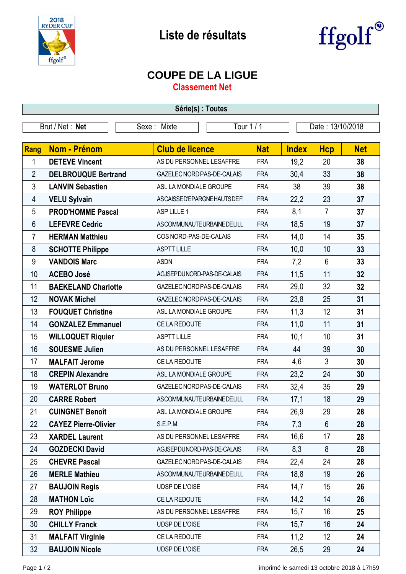



## **COUPE DE LA LIGUE**

**Classement Net**

| Série(s) : Toutes |                             |                            |            |                  |                |            |  |  |  |
|-------------------|-----------------------------|----------------------------|------------|------------------|----------------|------------|--|--|--|
| Brut / Net: Net   |                             | Sexe: Mixte                | Tour 1 / 1 | Date: 13/10/2018 |                |            |  |  |  |
|                   |                             |                            |            |                  |                |            |  |  |  |
| Rang              | <b>Nom - Prénom</b>         | <b>Club de licence</b>     | <b>Nat</b> | <b>Index</b>     | <b>Hcp</b>     | <b>Net</b> |  |  |  |
| 1                 | <b>DETEVE Vincent</b>       | AS DU PERSONNEL LESAFFRE   | <b>FRA</b> | 19,2             | 20             | 38         |  |  |  |
| $\overline{2}$    | <b>DELBROUQUE Bertrand</b>  | GAZELEC NORD PAS-DE-CALAIS | <b>FRA</b> | 30,4             | 33             | 38         |  |  |  |
| $\mathfrak{Z}$    | <b>LANVIN Sebastien</b>     | ASL LA MONDIALE GROUPE     | <b>FRA</b> | 38               | 39             | 38         |  |  |  |
| 4                 | <b>VELU Sylvain</b>         | ASCAISSED'EPARGNEHAUTSDEFI | <b>FRA</b> | 22,2             | 23             | 37         |  |  |  |
| 5                 | <b>PROD'HOMME Pascal</b>    | ASP LILLE 1                | <b>FRA</b> | 8,1              | $\overline{7}$ | 37         |  |  |  |
| $6\phantom{1}6$   | <b>LEFEVRE Cedric</b>       | ASCOMMUNAUTEURBAINEDELILL  | <b>FRA</b> | 18,5             | 19             | 37         |  |  |  |
| 7                 | <b>HERMAN Matthieu</b>      | COS NORD-PAS-DE-CALAIS     | <b>FRA</b> | 14,0             | 14             | 35         |  |  |  |
| 8                 | <b>SCHOTTE Philippe</b>     | <b>ASPTT LILLE</b>         | <b>FRA</b> | 10,0             | 10             | 33         |  |  |  |
| 9                 | <b>VANDOIS Marc</b>         | <b>ASDN</b>                | <b>FRA</b> | 7,2              | $6\phantom{1}$ | 33         |  |  |  |
| 10                | <b>ACEBO José</b>           | AGJSEPDUNORD-PAS-DE-CALAIS | <b>FRA</b> | 11,5             | 11             | 32         |  |  |  |
| 11                | <b>BAEKELAND Charlotte</b>  | GAZELEC NORD PAS-DE-CALAIS | <b>FRA</b> | 29,0             | 32             | 32         |  |  |  |
| 12                | <b>NOVAK Michel</b>         | GAZELEC NORD PAS-DE-CALAIS | <b>FRA</b> | 23,8             | 25             | 31         |  |  |  |
| 13                | <b>FOUQUET Christine</b>    | ASL LA MONDIALE GROUPE     | <b>FRA</b> | 11,3             | 12             | 31         |  |  |  |
| 14                | <b>GONZALEZ Emmanuel</b>    | CE LA REDOUTE              | <b>FRA</b> | 11,0             | 11             | 31         |  |  |  |
| 15                | <b>WILLOQUET Riquier</b>    | <b>ASPTT LILLE</b>         | <b>FRA</b> | 10,1             | 10             | 31         |  |  |  |
| 16                | <b>SOUESME Julien</b>       | AS DU PERSONNEL LESAFFRE   | <b>FRA</b> | 44               | 39             | 30         |  |  |  |
| 17                | <b>MALFAIT Jerome</b>       | CE LA REDOUTE              | <b>FRA</b> | 4,6              | $\mathfrak{Z}$ | 30         |  |  |  |
| 18                | <b>CREPIN Alexandre</b>     | ASL LA MONDIALE GROUPE     | <b>FRA</b> | 23,2             | 24             | 30         |  |  |  |
| 19                | <b>WATERLOT Bruno</b>       | GAZELEC NORD PAS-DE-CALAIS | <b>FRA</b> | 32,4             | 35             | 29         |  |  |  |
| 20                | <b>CARRE Robert</b>         | ASCOMMUNAUTEURBAINEDELILL  | <b>FRA</b> | 17,1             | 18             | 29         |  |  |  |
| 21                | <b>CUINGNET Benoît</b>      | ASL LA MONDIALE GROUPE     | <b>FRA</b> | 26,9             | 29             | 28         |  |  |  |
| 22                | <b>CAYEZ Pierre-Olivier</b> | S.E.P.M.                   | <b>FRA</b> | 7,3              | $6\phantom{1}$ | 28         |  |  |  |
| 23                | <b>XARDEL Laurent</b>       | AS DU PERSONNEL LESAFFRE   | <b>FRA</b> | 16,6             | 17             | 28         |  |  |  |
| 24                | <b>GOZDECKI David</b>       | AGJSEPDUNORD-PAS-DE-CALAIS | <b>FRA</b> | 8,3              | 8              | 28         |  |  |  |
| 25                | <b>CHEVRE Pascal</b>        | GAZELEC NORD PAS-DE-CALAIS | <b>FRA</b> | 22,4             | 24             | 28         |  |  |  |
| 26                | <b>MERLE Mathieu</b>        | ASCOMMUNAUTEURBAINEDELILL  | <b>FRA</b> | 18,8             | 19             | 26         |  |  |  |
| 27                | <b>BAUJOIN Regis</b>        | UDSP DE L'OISE             | <b>FRA</b> | 14,7             | 15             | 26         |  |  |  |
| 28                | <b>MATHON Loïc</b>          | CE LA REDOUTE              | <b>FRA</b> | 14,2             | 14             | 26         |  |  |  |
| 29                | <b>ROY Philippe</b>         | AS DU PERSONNEL LESAFFRE   | <b>FRA</b> | 15,7             | 16             | 25         |  |  |  |
| 30                | <b>CHILLY Franck</b>        | UDSP DE L'OISE             | <b>FRA</b> | 15,7             | 16             | 24         |  |  |  |
| 31                | <b>MALFAIT Virginie</b>     | CE LA REDOUTE              | <b>FRA</b> | 11,2             | 12             | 24         |  |  |  |
| 32                | <b>BAUJOIN Nicole</b>       | UDSP DE L'OISE             | <b>FRA</b> | 26,5             | 29             | 24         |  |  |  |